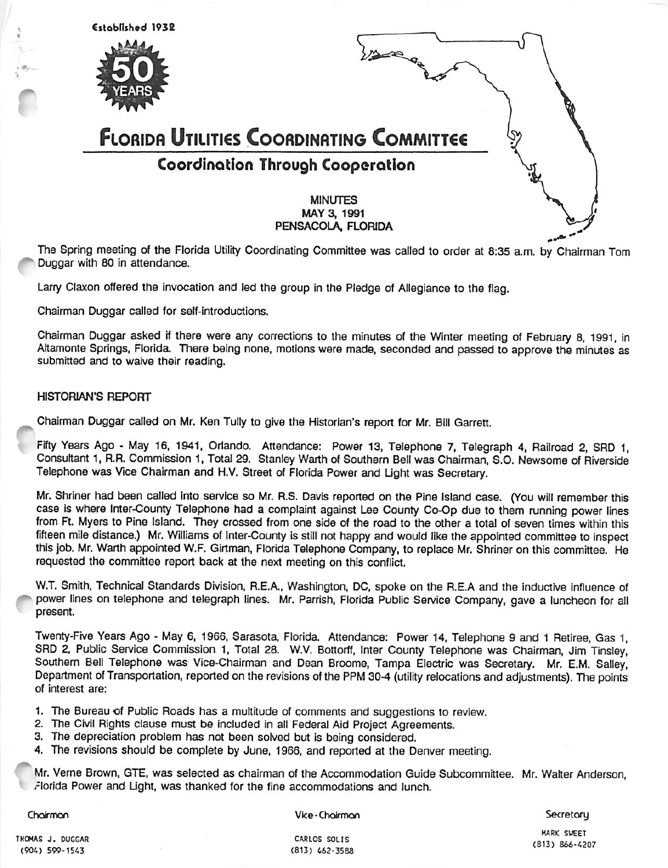

The Spring meeting of the Florida Utility Coordinating Committee was called to order at 8:35 a.m. by Chairman Tom Duggar with 80 in attendance.

Larry Claxon offered the invocation and led the group in the Pledge of Allegiance to the flag.

Chairman Duggar called for self-Introductions.

Chairman Duggar asked if there were any corrections to the minutes of the Winter meeting of February 8, 1991, in Altamonte Springs, Florida. There being none, motions were made, seconded and passed to approve the minutes as submitted and to waive their reading.

#### HISTORIAN'S REPORT

Chairman Duggar called on Mr. Ken Tully to give the Historian's report for Mr. Bill Garrett.

Fifty Years Ago - May 16, 1941, Orlando. Attendance: Power 13. Telephone 7. Telegraph 4, Railroad 2, SRD 1, Consultant 1, R.R. Commission 1, Total 29. Stanley Warth of Southern Bell was Chairman, S.O. Newsome of Riverside Telephone was Vice Chairman and H.V. Street of Florida Power and Light was Secretary.

Mr. Shriner had been called into service so Mr. R.S. Davis reported on the Pine Island case. (You will remember this case is where Inter-County Telephone had a complaint against Lee County Co-Op due to them running power lines from Ft. Myers to Pine Island. They crossed from one side of the road to the other a total of seven times within this fifteen mile distance.) Mr. Williams of Inter-County is still not happy and would like the appointed committee to inspect this job. Mr. Warth appointed W.F. Girtman, Florida Telephone Company, to replace Mr. Shriner on this committee, He requested the committee report back at the next meeting on this conflict.

W.T. Smith, Technical Standards Division, R.E.A., Washington, DC, spoke on the R.E.A and the inductive influence of power lines on telephone and telegraph lines. Mr. Parrish, Fiorida Public Service Company, gave a luncheon for all present

Twenty-Five Years Ago - May 6, 1966, Sarasota, Florida. Attendance: Power 14, Telephone 9 and 1 Retiree, Gas 1, SRD 2, Public Service Commission 1, Total 28. W.V. Bottorff, Inter County Telephone was Chairman, Jim Tinsley, Southern Bell Telephone was Vice-Chairman and Dean Broome, Tampa Electric was Secretary. Mr. E.M. Salley, Department of Transportation, reported on the revisions of the PPM 30-4 (utility relocations and adjustments). The points of interest are;

- 1. The Bureau of Public Roads has a multitude of comments and suggestions to review.
- 2. The Civil Rights clause must be Included in all Federal Aid Project Agreements.
- 3. The depreciation problem has not been solved but is being considered.
- 4. The revisions should be complete by June, 1966, and reported at the Denver meeting.

Mr. Veme Brown, GTE, was selected as chairman of the Accommodation Guide Subcommittee. Mr. Walter Anderson, ,-lorida Power and Light, was thanked for the fine accommodations and lunch.

Chairman

Vice-Choirmon

**Secretory** 

THOMAS J. DUGGAR (904) 599-1543

CARLOS SOLIS (813) 442-3588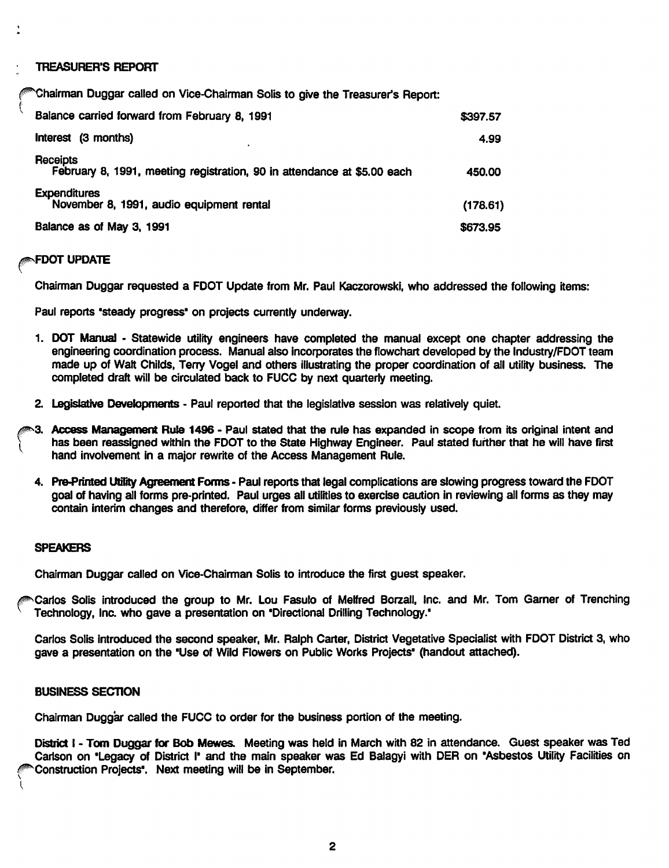**TREASURER'S REPORT** 

^^^hairman Duggar called on Vice-Chairman Soils to give the Treasurer's Report:

| Balance carried forward from February 8, 1991                                       | \$397.57 |
|-------------------------------------------------------------------------------------|----------|
| Interest (3 months)                                                                 | 4.99     |
| Receipts<br>February 8, 1991, meeting registration, 90 in attendance at \$5.00 each | 450.00   |
| <b>Expenditures</b><br>November 8, 1991, audio equipment rental                     | (178.61) |
| Balance as of May 3, 1991                                                           | \$673.95 |

## ^FDOT UPDATE

t

Chairman Duggar requested a FDOT Update from Mr. Paul Kaczorowski, who addressed the following items:

Paul reports 'steady progress' on projects currently underway.

- 1. DOT Manual Statewide utility engineers have completed the manual except one chapter addressing the engineering coordination process. Manual also incorporates the flowchart developed by the Industry/FDOT team made up of Walt Childs, Terry Vogel and others illustrating the proper coordination of all utility business. The completed draft will be circulated back to FUGG by next quarterly meeting.
- 2. Legislative Developments Paul reported that the legislative session was relatively quiet.
- I 3. Access Management Rule 1496 - Paul stated that the rule has expanded in scope from its original intent and has been reassigned within the FDOT to the State Highway Engineer. Paul stated further that he will have first hand involvement in a major rewrite of the Access Management Rule.
	- 4. Pre-Printed Utility Agreement Forms Paul reports that legal complications are slowing progress toward the FDOT goal of having all forms pre-printed. Paul urges all utilities to exercise caution in reviewing all forms as they may contain interim changes and therefore, differ from similar forms previously used.

#### SPEAKERS

Chairman Duggar called on Vice-Chairman Solis to introduce the first guest speaker.

Carlos Soils introduced the group to Mr. Lou Fasulo of Melfred Borzall, Inc. and Mr. Tom Garner of Trenching Technology, Inc. who gave a presentation on 'Directional Drilling Technology.'

Carlos Soils introduced the second speaker, Mr. Ralph Carter, District Vegetative Specialist with FDOT District 3, who gave a presentation on the 'Use of Wild Flowers on Public Works Projects' (handout attached).

#### **BUSINESS SECTION**

 $\mathcal{L}$ 

Chairman Duggar called the FUCC to order for the business portion of the meeting.

District I - Tom Duggar for Bob Mewes. Meeting was held in March with 82 in attendance. Guest speaker was Ted Carlson on 'Legacy of District I' and the main speaker was Ed Balagyi with DER on 'Asbestos Utility Facilities on Construction Projects'. Next meeting will be in September.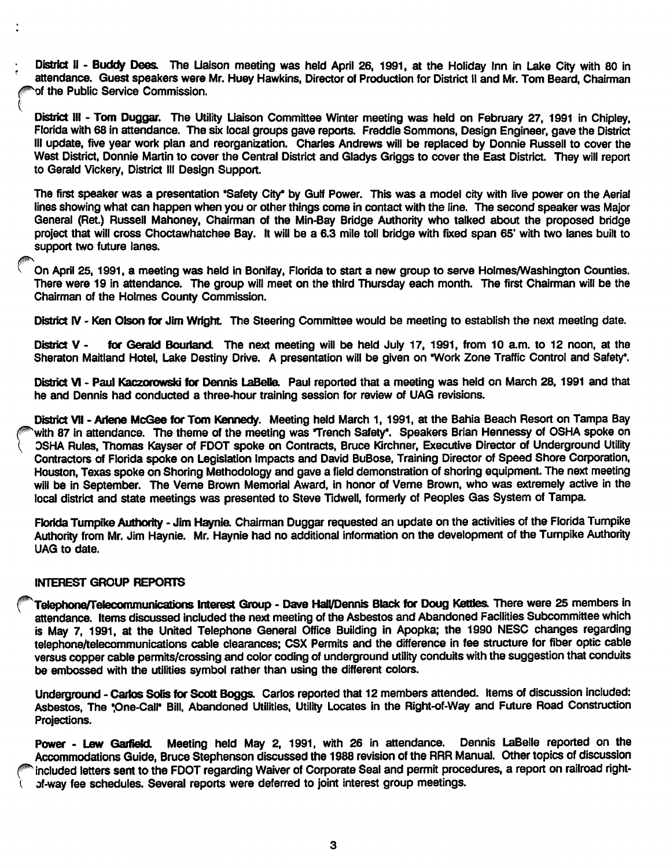District II - Buddy Dees. The Liaison meeting was held April 26, 1991, at the Holiday Inn in Lake City with 80 in attendance. Guest speakers were Mr. Huey Hawkins, Director of Production for District II and Mr. Tom Beard, Chairman of the Public Service Commission.

District III - Tom Duggar. The Utility Liaison Committee Winter meeting was held on February 27, 1991 in Chipley, Florida with 68 in attendance. The six local groups gave reports. Freddie Sommons, Design Engineer, gave the District III update, five year work plan and reorganization. Charles Andrews will be replaced by Donnie Russell to cover the West District, Donnie Martin to cover the Central District and Gladys Griggs to cover the East District. They will report to Gerald Vickery, District III Design Support.

The first speaker was a presentation 'Safety City\* by Gulf Power. This was a model city with live power on the Aerial lines showing what can happen when you or other things come in contact with the line. The second speaker was Major General (Ret.) Russell Mahoney, Chairman of the Min-Bay Bridge Authority who talked about the proposed bridge project that will cross Choctawhatchee Bay. It will be a 6.3 mile toll bridge with fixed span 65' with two lanes built to support two future lanes.

On April 25,1991, a meeting was held in Bonlfay, Florida to start a new group to serve Holmes/Washington Counties. There were 19 in attendance. The group will meet on the third Thursday each month. The first Chairman will be the Chairman of the Holmes County Commission.

District IV - Ken Olson for Jim Wright. The Steering Committee would be meeting to establish the next meeting date.

District V - for Gerald Bourland. The next meeting will be held July 17, 1991, from 10 a.m. to 12 noon, at the Sheraton Maitland Hotel, Lake Destiny Drive. A presentation will be given on 'Work Zone Traffic Control and Safety'.

District VI - Paul Kaczorowski for Dennis LaBelle. Paul reported that a meeting was held on March 28, 1991 and that he and Dennis had conducted a three-hour training session for review of UAG revisions.

District VII - Ariene McGee for Tom Kennedy. Meeting held March 1, 1991, at the Bahia Beach Resort on Tampa Bay with 87 in attendance. The theme of the meeting was Trench Safety'. Speakers Brian Hennessy of OSHA spoke on OSHA Rules, Thomas Kayser of FDOT spoke on Contracts, Bruce Kirchner, Executive Director of Underground Utility Contractors of Florida spoke on Legislation Impacts and David BuBose, Training Director of Speed Shore Corporation, Houston, Texas spoke on Shoring Methodology and gave a field demonstration of shoring equipment. The next meeting will be in September. The Verne Brown Memorial Award, in honor of Veme Brown, who was extremely active in the local district and state meetings was presented to Steve Tidwell, formerly of Peoples Gas System of Tampa.

Flofida Turnpike Authority - Jim Haynia Chairman Duggar requested an update on the activities of the Florida Tumpike Authority from Mr. Jim Haynie. Mr. Haynie had no additional information on the development of the Tumpike Authority UAG to date.

# INTEREST GROUP REPORTS

Telephone/Telecommunications Interest Group - Dave Hall/Dennis Black for Doug Kettles. There were 25 members in attendance. Items discussed included the next meeting of the Asbestos and Abandoned Facilities Subcommittee which is May 7, 1991, at the United Telephone General Office Building in Apopka; the 1990 NESC changes regarding telephone/telecommunications cable clearances; CSX Permits and the difference in fee structure for fiber optic cable versus copper cable permits/crossing and color coding of underground utility conduits with the suggestion that conduits be embossed with the utilities symbol rather than using the different colors.

Underground - Carlos Solis for Scott Boggs. Carlos reported that 12 members attended. Items of discussion included: Asbestos, The "One-Call" Bill, Abandoned Utilities, Utility Locates in the Right-of-Way and Future Road Construction Projections.

Power - Lew Garfield. Meeting held May 2, 1991, with 26 in attendance. Dennis LaBelle reported on the Accommodations Guide, Bruce Stephenson discussed the 1988 revision of the RRR Manual. Other topics of discussion included letters sent to the FDOT regarding Waiver of Corporate Seal and permit procedures, a report on railroad right of-way fee schedules. Several reports were deferred to joint interest group meetings.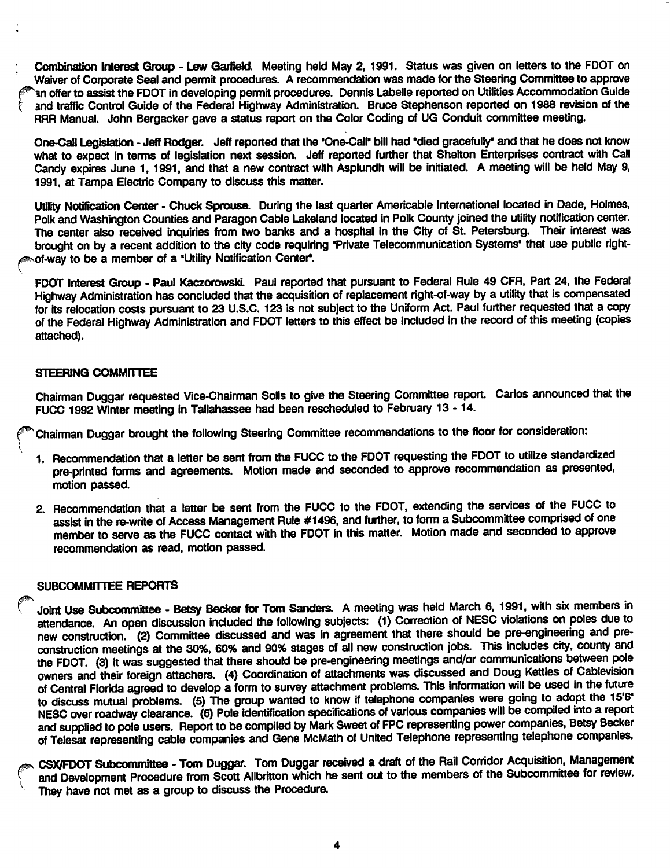Combination Interest Group - Lew Garfield. Meeting held May 2, 1991. Status was given on letters to the FDOT on Waiver of Corporate Seal and permit procedures. A recommendation was made for the Steering Committee to approve In offer to assist the FDOT in developing permit procedures. Dennis Labelle reported on Utilities Accommodation Guide and traffic Control Guide of the Federal Highway Administration. Bruce Stephenson reported on 1988 revision of the RRR Manual. John Bergacker gave a status report on the Color Coding of UG Conduit committee meeting.

One-Call Legislation - Jeff Rodger. Jeff reported that the 'One-Call' bill had 'died gracefully' and that he does not know what to expect in terms of legislation next session. Jeff reported further that Shelton Enterprises contract with Call Candy expires June 1, 1991, and that a new contract with Asplundh will be initiated. A meeting will be held May 9, 1991, at Tampa Electric Company to discuss this matter.

Utility Notification Center - Chuck Sprouse. During the last quarter Americable International located in Dade, Holmes, Polk and Washington Counties and Paragon Cable Lakeland located in Polk County joined the utility notification center. The center also received inquiries from two banks and a hospital in the City of St. Petersburg. Their interest was brought on by a recent addition to the city code requiring 'Private Telecommunication Systems' that use public rightof-way to be a member of a 'Utility Notification Center'.

FDOT Interest Group - Paul Kaczorowski. Paul reported that pursuant to Federal Rule 49 CFR, Part 24, the Federal Highway Administration has concluded that the acquisition of replacement right-of-way by a utility that is compensated for its relocation costs pursuant to 23 U.S.C. 123 is not subject to the Uniform Act. Paul further requested that a copy of the Federal Highway Administration and FDOT letters to this effect be included in the record of this meeting (copies attached).

## STEERING COMMITTEE

Chairman Duggar requested Vice-Chairman Solis to give the Steering Committee report. Carlos announced that the FUCC 1992 Winter meeting in Tallahassee had been rescheduled to February 13 - 14.

Chairman Duggar brought the following Steering Committee recommendations to the floor for consideration:

- 1. Recommendation that a letter be sent from the FUCC to the FDOT requesting the FDOT to utilize standardized pre-printed forms and agreements. Motion made and seconded to approve recommendation as presented, motion passed.
- 2. Recommendation that a letter be sent from the FUCC to the FDOT, extending the services of the FUCC to assist in the re-write of Access Management Rule #1496, and further, to form a Subcommittee comprised of one member to serve as the FUCC contact with the FDOT in this matter. Motion made and seconded to approve recommendation as read, motion passed.

## SUBCOMMITTEE REPORTS

Joint Use Subcommittee - Betsy Becker for Tom Sanders. A meeting was held March 6, 1991, with six members in attendance. An open discussion included the following subjects: (1) Correction of NESC violations on poles due to new construction. (2) Committee discussed and was in agreement that there should be pre-engineering and preconstruction meetings at the 30%, 60% and 90% stages of all new construction jobs. This includes city, county and the FDOT. (3) It was suggested that there should be pre-engineering meetings and/or communications between pole owners and their foreign attachers. (4) Coordination of attachments was discussed and Doug Kettles of Cablevision of Central Florida agreed to develop a form to survey attachment problems. This information will be used in the future to discuss mutual problems. (5) The group wanted to know if telephone companies were going to adopt the 15'6" NESC over roadway clearance. (6) Pole identification specifications of various companies will be compiled into a report and supplied to pole users. Report to be compiled by Mark Sweet of FPC representing power companies, Betsy Becker of Telesat representing cable companies and Gene McMath of United Telephone representing telephone companies.

CSX/FDOT Subcommittee - Tom Duggar. Tom Duggar received a draft of the Rail Corridor Acquisition, Management and Development Procedure from Scott Allbritton which he sent out to the members of the Subcommittee for review. They have not met as a group to discuss the Procedure.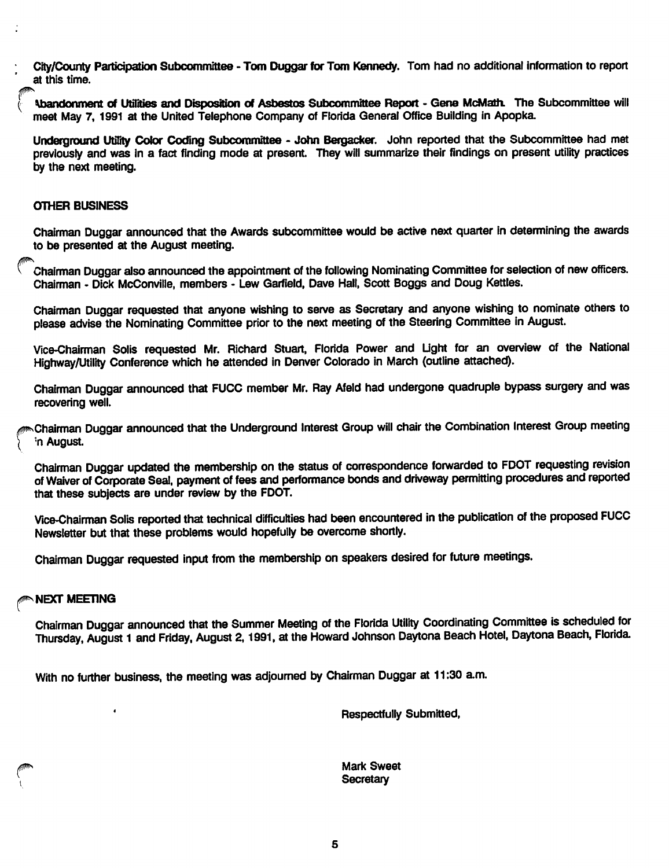City/County Participation Subcommittee - Tom Duggar for Tom Kennedy. Tom had no additional information to report at this time.

Abandonment of Utilities and Disposition of Asbestos Subcommittee Report - Gene McMath. The Subcommittee will meet May 7, 1991 at the United Telephone Company of Florida General Office Building in Apopka

Underground Utility Color Coding Subcommittee - John Bergacker. John reported that the Subcommittee had met previously and was in a fact finding mode at present. They will summarize their findings on present utility practices by the next meeting.

## OTHER BUSINESS

Chairman Duggar announced that the Awards subcommittee would be active next quarter in determining the awards to be presented at the August meeting.

Chairman Duggar also announced the appointment of the following Nominating Committee for selection of new officers. Chairman - Dick McConville, members • Lew Garfield, Dave Hall, Scott Boggs and Doug Kettles.

Chairman Duggar requested that anyone wishing to serve as Secretary and anyone wishing to nominate others to please advise the Nominating Committee prior to the next meeting of the Steering Committee in August.

Vice-Chairman Solis requested Mr. Richard Stuart, Florida Power and Light for an overview of the National Highway/Utility Conference which he attended in Denver Colorado in March (outline attached).

Chairman Duggar announced that FUCC member Mr. Ray Afeld had undergone quadruple bypass surgery and was recovering well.

Chairman Duggar announced that the Underground Interest Group will chair the Combination Interest Group meeting ■n August.

Chairman Duggar updated the membership on the status of correspondence forwarded to FDOT requesting revision of Waiver of Corporate Seal, payment of fees and performance bonds and driveway permitting procedures and reported that these subjects are under review by the FDOT.

Vice-Chairman Solis reported that technical difficulties had been encountered in the publication of the proposed FUCC Newsletter but that these problems would hopefully be overcome shortly.

Chairman Duggar requested Input from the membership on speakers desired for future meetings.

# **NEXT MEETING**

'

Chairman Duggar announced that the Summer Meeting of the Florida Utility Coordinating Committee is scheduled for Thursday. August 1 and Friday, August 2,1991, at the Howard Johnson Daytona Beach Hotel, Daytona Beach, Florida

With no further business, the meeting was adjourned by Chairman Duggar at 11:30 am.

Respectfully Submitted,

Mark Sweet **Secretary**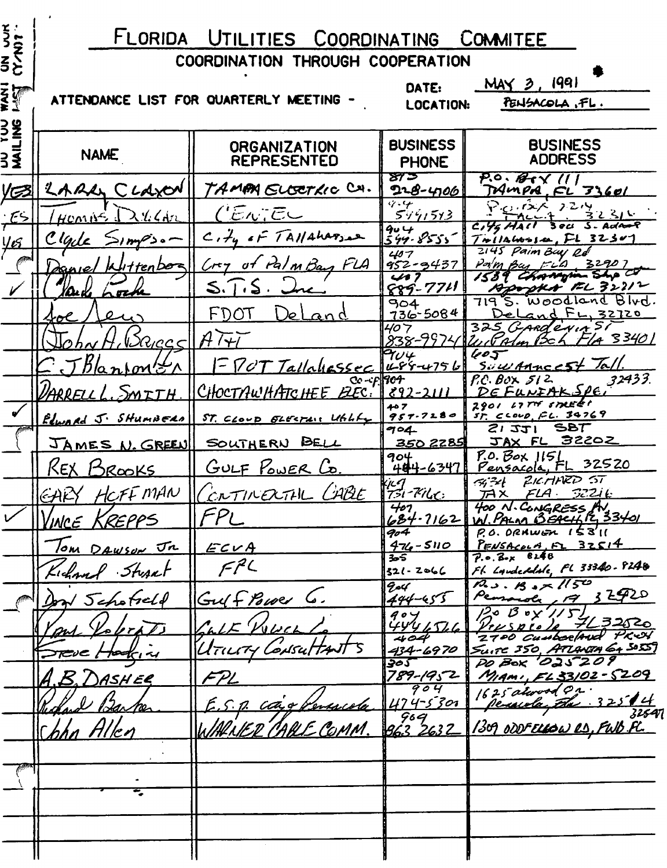| とうこうこう                    | FLORIDA UTILITIES<br>COORDINATING<br><b>COMMITEE</b> |                                                |                                                               |                                                                  |  |
|---------------------------|------------------------------------------------------|------------------------------------------------|---------------------------------------------------------------|------------------------------------------------------------------|--|
|                           | COORDINATION THROUGH COOPERATION                     |                                                |                                                               |                                                                  |  |
| <u>ទី</u> រ្ <sup>គ</sup> |                                                      | ATTENDANCE LIST FOR QUARTERLY MEETING -        | $MAY$ 3, 1991<br>DATE:<br>PENSACOLA, FL.<br>LOCATION:         |                                                                  |  |
| <b>UU YUU</b><br>MAILING  | <b>NAME</b>                                          | <b>ORGANIZATION</b><br><b>REPRESENTED</b>      | <b>BUSINESS</b><br><b>PHONE</b>                               | <b>BUSINESS</b><br><b>ADDRESS</b>                                |  |
| <u>VC3</u>                | LARD CLAXON                                          | TAMPA ELGETRIC CH.                             | ४७ ठ<br>228-4106                                              | $P.0.64 \times 11$<br>MMPA, FL 33601                             |  |
| ∙ES                       | くしくんん<br>$H$ con $N^2$                               | ('Enjeu                                        | $\overline{q}$ .4<br>549,513                                  | $20.125$ 2214<br>えんろん<br>S. Adant                                |  |
| <u>yes</u>                | Clarle<br>۰ ه دخهم د                                 | $C_1$ $H_y$ of TAIlaharson                     | $904$<br>544-8555                                             | 3 OCI .<br>FL 32307<br>7 milawosan.                              |  |
|                           | ' Klittenboa                                         | Cry of PalmBay FLA                             | 407<br>$952 - 9437$                                           | 2145 Paim Buy Rd<br>Parm Bay FLD<br>32907<br>1539 Chappin She    |  |
|                           | XOark<br>h oche                                      | 5.1.5.                                         | 417<br>$889 - 7711$                                           | Apopth EL 32212<br>7195. Woodland Blvd.                          |  |
|                           | 40e                                                  | FDOT<br>. )e l<br><u>and</u>                   | 904<br>$736 - 5084$                                           | DeLand FL, 32720                                                 |  |
|                           | $N2R_{ICC}$ $<$ $ H\overline{H}$                     |                                                | 407<br>838-997                                                | 325 GARDENIA SI<br>F/4 3340 L<br>$u$ of Alm Bch                  |  |
|                           | <u>JBlanton Er</u>                                   | FPOT Tallahossec                               | $\bm{\gamma}_{\bm{\mathcal{U}}\bm{\varphi}}$<br>$1465 - 4756$ | 605<br>SuwAnneest Tall.                                          |  |
|                           | VARRELL L<br>$M$ $T$ $H$                             | $C_0$ - $c_F$ $R$ $c_T$<br>CHOCTAWHATCHEE BEC. | $892 - 2111$                                                  | 32433.<br>$PC.$ BOX $512$<br>DEFUNIAKSPE                         |  |
|                           | Edward J. SHUMBERA                                   | ST. CLOUD ELECTAIN Utility                     | 407<br>957.7280                                               | 2901 LITT STREET<br>$57.$ $C$ $C$ $D$ , $F$ $C$ . $39769$        |  |
|                           |                                                      | JAMES N. GREEN  SOUTHERN BELL                  | 704<br>350 2285                                               | SBT<br>2121<br>JAX FL 32202                                      |  |
|                           | Кех<br><u>ISROOKS</u>                                | <u>GULF POWER Co.</u>                          | 904<br>444-6347                                               | $P.0.$ Box $115L$<br>Pensacola, FL 32520                         |  |
|                           | HCFF MAN<br>GAKY                                     | CRTINERTHL CABE                                | ijug<br>131-Ph <u>ut :</u>                                    | ZICHARD ST<br>54 <del>3</del> 4<br>$FLA - 52216$<br>$H^2$        |  |
|                           | <b>VINCE KREPPS</b>                                  | FPL                                            | 407<br>$684 - 7162$                                           | 400 N. CONGRESS AV.<br>W. PALM BEACH 12, 33401                   |  |
|                           | Tom DAWSON JR                                        | ECVA                                           | 904<br>$476 - 5110$                                           | $P.0.0$ RHWEN $153'$<br>$P_{E\text{WSA}cutA, F1}$ 32514          |  |
|                           | Kichard Sturret                                      | FPL                                            | ₩<br>$321 - 2066$                                             | $7.0.8-x 8248$<br>FL Landeddde, FL 33340-8240                    |  |
|                           | Don Schofseld                                        | Gulf Power 6.                                  | go4<br>$444 - 455$                                            | $R_{3}$ . $B_{3}$ x $1150$<br>Pensora, 19 32920                  |  |
|                           | and Volorats                                         | CaLE WUCh                                      | 904<br>444156                                                 | $120B$ oy' $115$<br>7632520<br>$V$ r $\iota$ $\zeta$ $p$ r $p$ , |  |
|                           | Steve Hocking                                        | UTILITY CONSUTTANT                             | 404<br>434-6970                                               | 2700 Cumberland PREV<br>SUITE 350, ATLANTA 64 SOSS               |  |
|                           | A.B. DASHER                                          | FPL                                            | ३०ऽ<br>789-1952                                               | PO BOX '025209<br>MIAMI, EL 33102 - 5209                         |  |
|                           |                                                      | E.S. p. ca's Persicola                         | 904<br>$474 - 53$ or                                          | 1625 alwood Or.<br><u> Peruda, Ela 32514</u>                     |  |
|                           | Richard Barber                                       | WARNER CABLE COMM.                             | $963$<br>263 2632                                             | 32547<br><u>1309 ODDFELLOW RS, FWB.FL.</u>                       |  |
|                           | Chhn Allen                                           |                                                |                                                               |                                                                  |  |
|                           |                                                      |                                                |                                                               |                                                                  |  |
|                           |                                                      |                                                |                                                               |                                                                  |  |
|                           |                                                      |                                                |                                                               |                                                                  |  |
|                           |                                                      |                                                |                                                               |                                                                  |  |
|                           |                                                      |                                                |                                                               |                                                                  |  |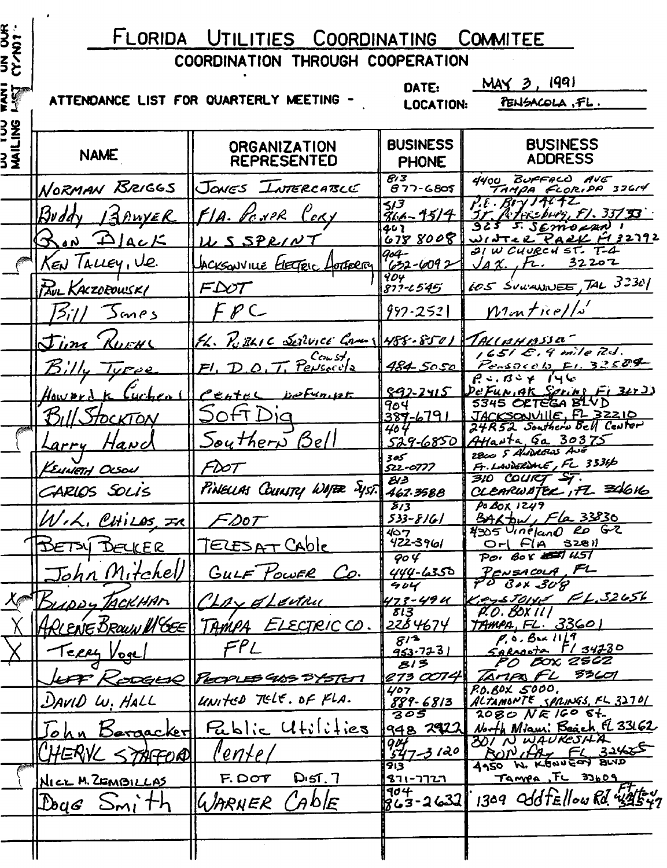| <b>US DUR</b><br>CY 127  | FLORIDA UTILITIES COORDINATING<br>COMMITEE                      |                                              |                                                  |                                                            |
|--------------------------|-----------------------------------------------------------------|----------------------------------------------|--------------------------------------------------|------------------------------------------------------------|
|                          | COORDINATION THROUGH COOPERATION                                |                                              |                                                  |                                                            |
| ទី ទី<br><b>ខ</b> ្មី    | MAY 3, 1991<br>DATE:<br>ATTENDANCE LIST FOR QUARTERLY MEETING - |                                              |                                                  |                                                            |
|                          | PENSACOLA, FL.<br><b>LOCATION:</b>                              |                                              |                                                  |                                                            |
| <b>DU TUU</b><br>MAILING | <b>NAME</b>                                                     | <b>ORGANIZATION</b><br><b>REPRESENTED</b>    | <b>BUSINESS</b><br><b>PHONE</b>                  | <b>BUSINESS</b><br><b>ADDRESS</b>                          |
|                          | NORMAN BRIGGS                                                   | JONES <i><b>LITTERCATILLE</b></i>            | 8/3<br>$677 - 6805$                              | 4400 BUFFACO AVE<br>TAMPA FLORIDA 33614                    |
|                          | $R\nu$ ddy<br><u>IAPWYER</u>                                    | FIA. VENPR CORY                              | イノヌ<br>866-1514                                  | $P.E.$ $B/Y$ $H7T$<br><u> 35 Petersburg, FJ. 33733</u>     |
|                          | $R_{\text{an}}$ $\Delta$ $\Delta$                               | US SPRINT                                    | 402<br>6788008                                   | 5. SEMORAN 1<br>WINTER PARK FIZZZAZ<br>21 W CHURCH ST. T-4 |
|                          | KEN TALLEY, V.E.                                                | ACKSONVILLE ELECTERE LOTERRY                 | 904-<br>$632 - 6092$                             | JAX, It. 32202                                             |
|                          | PAUL KACZOROWSKI                                                |                                              | $\overline{404}$<br>$877 - 6545$                 | 605 SULVANNEE, TAL 32301                                   |
|                          | 5/7/<br><b>Sanes</b>                                            | FPC                                          | $992 - 252$                                      | $M$ on tice//s'                                            |
|                          | Jim Kurne                                                       | $f_L$ . $F_L$ RLIC Service Com 1488-8501     |                                                  | $7$ ALLAHBSSA                                              |
|                          | Turee                                                           | T. Pensecula<br>$F$ , $D$                    | $484 - 5050$                                     | 1651 E. 9 mile R.J.<br>Pensocols Fl. 32509                 |
|                          | Hawbrd                                                          | Center DeFraint                              | $892 - 2415$                                     | $P: B \rightarrow P$<br>De Fun, AK Sprins Fi 32×2)         |
|                          | TOCKTON                                                         | OfT Die                                      | 904<br>$387 - 6791$                              | 5345 ORTEGA BLVD<br>JACKSONVIIE, FL 32210                  |
|                          | <u>Hand</u><br>Larry                                            | <u>Southern Bell</u>                         | 404<br>529-6850                                  | 24R52 Southern Bell Center<br>Atlanta Ga 30375             |
|                          | KEUNETH OLSON                                                   | FD0T                                         | که 3<br>522-0777                                 | 2800 5 ANDROWS AND<br>Fr. LAUDERWIE, FL 3336               |
|                          | CARLOS SOLIS                                                    | PINELLAS COUNTY WAPER SYST.                  | BI 3<br>462.3588                                 | 310 COURT ST.<br>CLEARWATER, FL 346KG                      |
|                          | $M.A.$ CHILOS, $\pi$ ell                                        | $-$ Do $\tau$                                | $\overline{\mathcal{S}}$ 13<br><u>533-8161</u>   | $P_0$ BOX 1249<br>BARDW, Fla 33830                         |
|                          | DETSY DELLER                                                    | <u> TELESAT Cable</u>                        | 407<br>$422 - 3961$                              | 4305 Uneland RD G-2<br>$Orl$ $FIA$ 3281                    |
|                          | <u>John Mitchell</u>                                            |                                              | $\overline{\varphi\circ\varphi}$<br>$444 - 6350$ | POI BOX EST UST<br>PENSACOLA, FL                           |
|                          |                                                                 | GULF POWER Co.                               | 404                                              | PO BOX 30P                                                 |
|                          | BUDDY TACKHAM                                                   | Lay of Leithy                                | 473-49 U<br>813                                  | $Ker_{2}stolyc$ $FL.32656$<br>P.O. BOX II                  |
|                          |                                                                 | ARLENE BROWN MGEE   TAMPA ELECTRICCO.<br>FPL | <u>2284674</u><br>814                            | <u>TAMPA, FL. 33601</u><br>P, 0.841117                     |
|                          | Terry Voge                                                      |                                              | 953.723<br>813                                   | Sarrota 11 34230<br>PO BOX 2562                            |
|                          |                                                                 | LAT RODGER PEOPLES 405 SYSTEM                | 273 COI4<br>407                                  | TAMPAFL 83601<br>R0.80x 5000.                              |
|                          | DAVID W. HALL                                                   | UNITED TELE. OF FLA.                         | 889-6813<br>305                                  | ALTAMONTE SPRINGS, FL 32701<br>$2080$ NE 160 6t.           |
|                          | Bergacker                                                       | Public Utilities                             | 948 29221                                        | North Miami Beach El 33162<br>301 N WAUKESHA               |
|                          | 'HERNL<br>STAFOQ                                                | l'ente i                                     | $904$<br>547-3120<br>913                         | ANNIA FL 31485                                             |
|                          | NICE M. ZEMBILLAS                                               | $D = 57.7$<br>F. DOT                         | <u>רגרר-ורצ</u><br>$\overline{404}$              | Tampa, FL 33609                                            |
|                          | $\Delta q$ <i>s</i> $Sm$ <i>i</i> th                            | (Ab)<br>WARNER                               | 863-2632                                         | 1309 Old Fellow Rd. 43547                                  |
|                          |                                                                 |                                              |                                                  |                                                            |
|                          |                                                                 |                                              |                                                  |                                                            |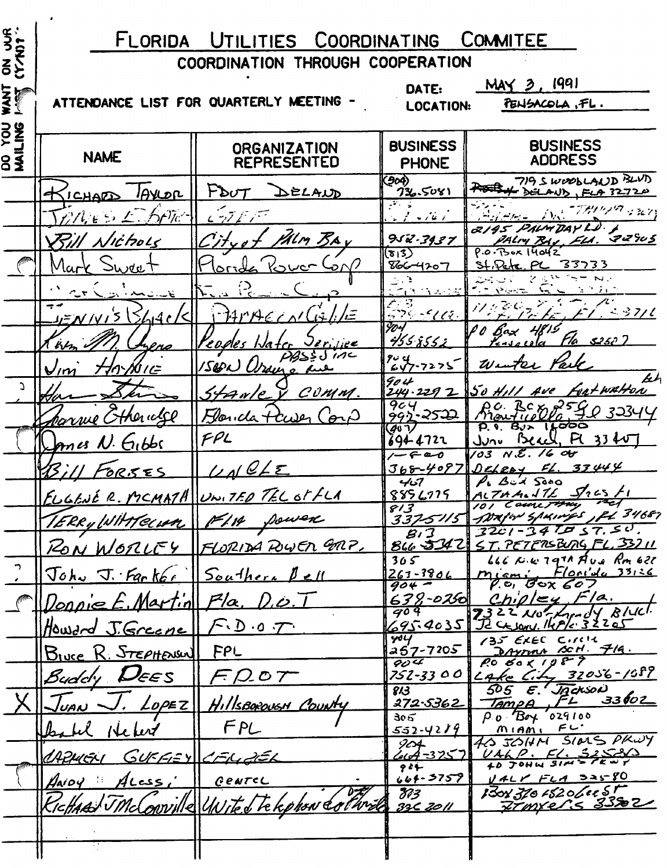# FLORIDA UTILITIES COORDINATING COMMITEE

| ON JUR      | FLORIDA UTILITIES COORDINATING<br><b>COMMITEE</b>                                    |                                           |                                                 |                                                                                       |
|-------------|--------------------------------------------------------------------------------------|-------------------------------------------|-------------------------------------------------|---------------------------------------------------------------------------------------|
|             | COORDINATION THROUGH COOPERATION                                                     |                                           |                                                 |                                                                                       |
| <b>ANT</b>  | $MAY$ $3.1991$<br>DATE:<br>ATTENDANCE LIST FOR QUARTERLY MEETING -<br>PENSACOLA, FL. |                                           |                                                 |                                                                                       |
|             | <b>LOCATION:</b>                                                                     |                                           |                                                 |                                                                                       |
| ខ្ពុំ<br>8§ | <b>NAME</b>                                                                          | <b>ORGANIZATION</b><br><b>REPRESENTED</b> | <b>BUSINESS</b><br><b>PHONE</b>                 | <b>BUSINESS</b><br><b>ADDRESS</b>                                                     |
|             | <u>IAVLOR</u><br><u>CHALD</u>                                                        | $F$ b $U$ T<br>DELAUD                     | (904)<br>グル・5081                                | 719 SWOODLAND BLVD<br>DELAND, FLA 32720                                               |
|             | わりに<br>かんしっと                                                                         | فيستهر ستروش والمتوات                     | $\sim$ $\sim$ $\sim$ $\sim$ $\sim$ $\sim$       | <b>HALL DR. THUND CRYS</b>                                                            |
|             | Nichols                                                                              | 'IM BAY                                   | 952.3937                                        | 2195 PALM DAY L.D. A<br>PALM BAY, ELA. 22905                                          |
|             | Mark<br>Sweet                                                                        | ا سور ا<br>ื้อ∧                           | $(\overline{\mathfrak{s}_1}$ 3)<br>$866 - 4207$ | $P.0.73$ ox $14042$<br>St. Pate, PL 33733                                             |
|             | المتصابق المراكض وأرسدت والسائف                                                      | $\left\{ \frac{1}{\epsilon} \right\}$     | <u>SANALIS</u>                                  | $\sim$ $\sim$ $\sim$ $\sim$<br>$\sqrt{2}$ $\sqrt{2}$ $\sqrt{2}$                       |
|             | <u>JENIVI'S (SLIACI</u>                                                              | 74MAECALLA                                | A 2<br>579-411                                  | アノジ<br>$\mathcal{L} / 1. \leq 37/6$                                                   |
|             | (kr<br><u>neno</u>                                                                   | Peoples Water Jerijiee                    | 904<br><u>4558552</u>                           | PO Bax 4819<br>$F/a$ \$250 )<br><u>Kasacela</u>                                       |
|             | HAYOIE<br>$\bigvee$ im                                                               | PBSSJINC<br>1500 Usano ane                | $704$<br>647-7275                               | Winter Park                                                                           |
| $\Delta$    |                                                                                      | Starle V COMM.                            | 904<br>244.229 2                                | bh<br>50 Hill Ave Fortwatton                                                          |
|             | parrie Cthericke                                                                     | Florida tawer<br>(pr)                     | 904<br>992-2522                                 | Ro. BCX 2590 32344<br>P. 9. 8Jx 16000                                                 |
|             | Komes N. Gibbs                                                                       | FPL                                       | 407<br>694-4722                                 | June Beach, FL 33 40                                                                  |
|             | 73 ; / l<br>FORSES                                                                   | LACE                                      | $1 - 60$<br>$368 - 4087$                        | $103 \text{ N.E.}$ 16 04<br>DELEOY FL. 33444                                          |
|             | ELGENÉ R. MCMATH WW. TED TEL OF FLA                                                  |                                           | 467<br>8856775                                  | P. Bux Soco<br>$\mathcal{I}_2$ $\epsilon$ s $\ell$ <sub>1</sub><br>ALTHALITE          |
|             | TERRYWHATECHAL FIN DOWER                                                             |                                           | 813                                             | 101 Court They<br>337-5115 DAYON SPAINGS, PL 34681                                    |
|             |                                                                                      | RON WORLEY FLORIDA POWER GAP.             | B/3                                             | $3201 - 347057.50.$<br>866-5342 ST. PETERSBURG FL. 33211                              |
|             | John J. Farker Southern Pell                                                         |                                           | 305<br>$267 - 3806$                             | $666$ K.w. 1971 Ave Rm 620<br>Flonida 33136<br>$m$ $\epsilon$ mi                      |
|             | <u>    Donnie E. Martin   </u>                                                       | $P/\alpha$<br><u>D.o.</u>                 | $904 -$<br>$638 - 0250$                         | $P.$ $\sigma$ , $\sigma$ $\sigma$ $\chi$ $\sigma$ $\sigma$ $\sigma$<br>Chiple<br>F/a. |
|             | Howard J.Greene                                                                      | F.D.o. T                                  | 709<br>695.40351                                | 7322 Nothandy Bluel.<br>I Casony, 14P/c. 32205                                        |
|             | Bluce R. STEPHENSUL                                                                  | FPL                                       | 404<br>257-7205                                 | 135 EXEC CIRCH<br>DAYTON SCH. 719.                                                    |
|             | Buddy <b>DEES</b>                                                                    | $FDA$ o $T$                               | 904<br>752-33 0 0                               | $P_0 60 1987$<br>$L$ Ake $L$ i $L$ , 32056-1989                                       |
|             | $\sqrt{\sqrt{2}}$                                                                    |                                           | 813<br>272-53 <u>62</u>                         | 505 E. JACKSON<br>$Tampa$ , $FL$ 33602                                                |
|             | $\text{Log}$                                                                         | HillsBorougH County<br>FPL                | ૩૦૬<br>$552 - 4219$                             | $\rho_0$ <i>Boy</i> 029100<br>$M$ $1$ $M$ $N$ $N$ $N$                                 |
|             | Helen                                                                                |                                           | 904<br>$404 - 325$                              | 4G JOHN SIDES PROY                                                                    |
|             | ARMEN                                                                                | <u>GUFFEY CELLEL</u>                      | 944<br>$66f - 5759$                             | $\frac{VAKP. FL. 5258/3}{107944377}$<br>VALY FLA SAS-80                               |
|             | $ACess_i$<br>$\beta$ AiDY                                                            | GENTEL<br>wille United te kphon colline   | FP 3                                            | 130131015206005<br>Frankers 3382                                                      |
|             | KichAAJ JMd                                                                          |                                           | 3362011                                         |                                                                                       |
|             |                                                                                      |                                           |                                                 |                                                                                       |
|             |                                                                                      |                                           |                                                 |                                                                                       |